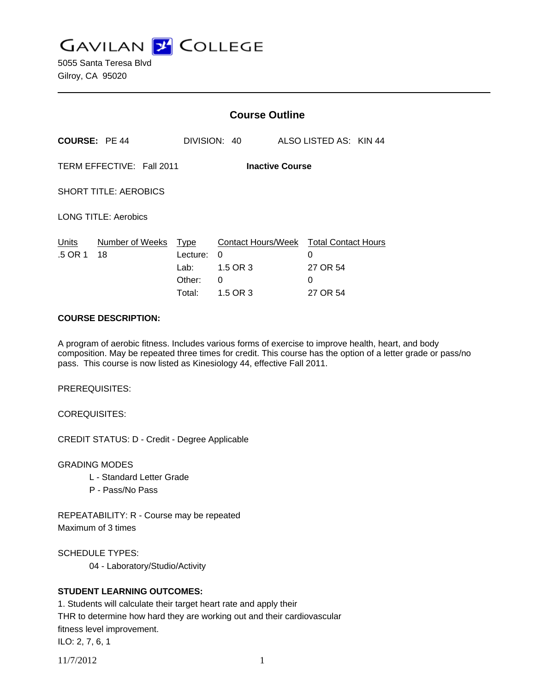**GAVILAN Z COLLEGE** 

5055 Santa Teresa Blvd Gilroy, CA 95020

|                                                     |                       | <b>Course Outline</b>                               |                                                      |                                                              |  |
|-----------------------------------------------------|-----------------------|-----------------------------------------------------|------------------------------------------------------|--------------------------------------------------------------|--|
| <b>COURSE: PE 44</b>                                |                       |                                                     | DIVISION: 40                                         | ALSO LISTED AS: KIN 44                                       |  |
| TERM EFFECTIVE: Fall 2011<br><b>Inactive Course</b> |                       |                                                     |                                                      |                                                              |  |
| <b>SHORT TITLE: AEROBICS</b>                        |                       |                                                     |                                                      |                                                              |  |
| <b>LONG TITLE: Aerobics</b>                         |                       |                                                     |                                                      |                                                              |  |
| Units<br>.5 OR 1                                    | Number of Weeks<br>18 | <u>Type</u><br>Lecture:<br>Lab:<br>Other:<br>Total: | Contact Hours/Week<br>0<br>1.5 OR 3<br>0<br>1.5 OR 3 | <b>Total Contact Hours</b><br>0<br>27 OR 54<br>0<br>27 OR 54 |  |

#### **COURSE DESCRIPTION:**

A program of aerobic fitness. Includes various forms of exercise to improve health, heart, and body composition. May be repeated three times for credit. This course has the option of a letter grade or pass/no pass. This course is now listed as Kinesiology 44, effective Fall 2011.

PREREQUISITES:

COREQUISITES:

CREDIT STATUS: D - Credit - Degree Applicable

GRADING MODES

- L Standard Letter Grade
- P Pass/No Pass

REPEATABILITY: R - Course may be repeated Maximum of 3 times

SCHEDULE TYPES:

04 - Laboratory/Studio/Activity

# **STUDENT LEARNING OUTCOMES:**

1. Students will calculate their target heart rate and apply their THR to determine how hard they are working out and their cardiovascular fitness level improvement. ILO: 2, 7, 6, 1

11/7/2012 1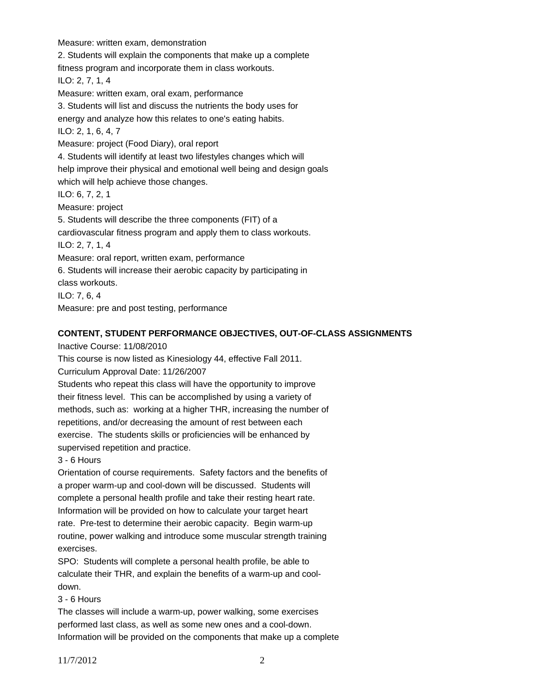Measure: written exam, demonstration 2. Students will explain the components that make up a complete fitness program and incorporate them in class workouts. ILO: 2, 7, 1, 4 Measure: written exam, oral exam, performance 3. Students will list and discuss the nutrients the body uses for energy and analyze how this relates to one's eating habits. ILO: 2, 1, 6, 4, 7 Measure: project (Food Diary), oral report 4. Students will identify at least two lifestyles changes which will help improve their physical and emotional well being and design goals which will help achieve those changes. ILO: 6, 7, 2, 1 Measure: project 5. Students will describe the three components (FIT) of a cardiovascular fitness program and apply them to class workouts. ILO: 2, 7, 1, 4 Measure: oral report, written exam, performance 6. Students will increase their aerobic capacity by participating in class workouts. ILO: 7, 6, 4 Measure: pre and post testing, performance

## **CONTENT, STUDENT PERFORMANCE OBJECTIVES, OUT-OF-CLASS ASSIGNMENTS**

Inactive Course: 11/08/2010

This course is now listed as Kinesiology 44, effective Fall 2011.

Curriculum Approval Date: 11/26/2007

Students who repeat this class will have the opportunity to improve their fitness level. This can be accomplished by using a variety of methods, such as: working at a higher THR, increasing the number of repetitions, and/or decreasing the amount of rest between each exercise. The students skills or proficiencies will be enhanced by supervised repetition and practice.

3 - 6 Hours

Orientation of course requirements. Safety factors and the benefits of a proper warm-up and cool-down will be discussed. Students will complete a personal health profile and take their resting heart rate. Information will be provided on how to calculate your target heart rate. Pre-test to determine their aerobic capacity. Begin warm-up routine, power walking and introduce some muscular strength training exercises.

SPO: Students will complete a personal health profile, be able to calculate their THR, and explain the benefits of a warm-up and cooldown.

### 3 - 6 Hours

The classes will include a warm-up, power walking, some exercises performed last class, as well as some new ones and a cool-down. Information will be provided on the components that make up a complete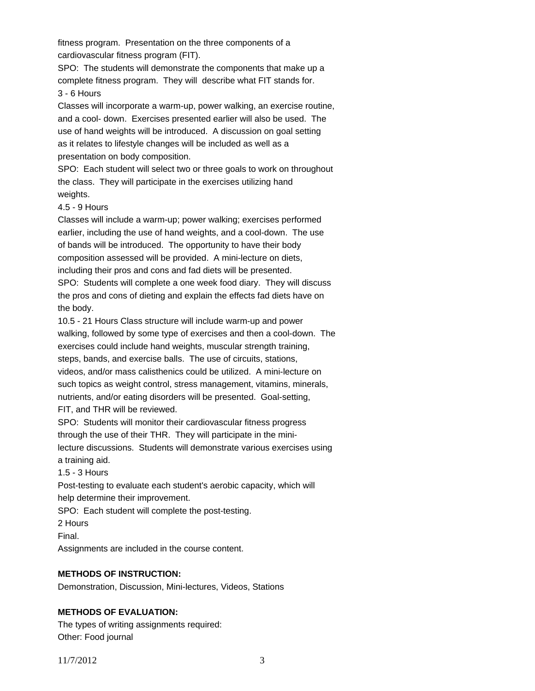fitness program. Presentation on the three components of a cardiovascular fitness program (FIT).

SPO: The students will demonstrate the components that make up a complete fitness program. They will describe what FIT stands for. 3 - 6 Hours

Classes will incorporate a warm-up, power walking, an exercise routine, and a cool- down. Exercises presented earlier will also be used. The use of hand weights will be introduced. A discussion on goal setting as it relates to lifestyle changes will be included as well as a presentation on body composition.

SPO: Each student will select two or three goals to work on throughout the class. They will participate in the exercises utilizing hand weights.

### 4.5 - 9 Hours

Classes will include a warm-up; power walking; exercises performed earlier, including the use of hand weights, and a cool-down. The use of bands will be introduced. The opportunity to have their body composition assessed will be provided. A mini-lecture on diets, including their pros and cons and fad diets will be presented. SPO: Students will complete a one week food diary. They will discuss the pros and cons of dieting and explain the effects fad diets have on the body.

10.5 - 21 Hours Class structure will include warm-up and power walking, followed by some type of exercises and then a cool-down. The exercises could include hand weights, muscular strength training, steps, bands, and exercise balls. The use of circuits, stations, videos, and/or mass calisthenics could be utilized. A mini-lecture on such topics as weight control, stress management, vitamins, minerals, nutrients, and/or eating disorders will be presented. Goal-setting, FIT, and THR will be reviewed.

SPO: Students will monitor their cardiovascular fitness progress through the use of their THR. They will participate in the minilecture discussions. Students will demonstrate various exercises using a training aid.

1.5 - 3 Hours

Post-testing to evaluate each student's aerobic capacity, which will help determine their improvement.

SPO: Each student will complete the post-testing.

2 Hours

Final.

Assignments are included in the course content.

# **METHODS OF INSTRUCTION:**

Demonstration, Discussion, Mini-lectures, Videos, Stations

# **METHODS OF EVALUATION:**

The types of writing assignments required: Other: Food journal

11/7/2012 3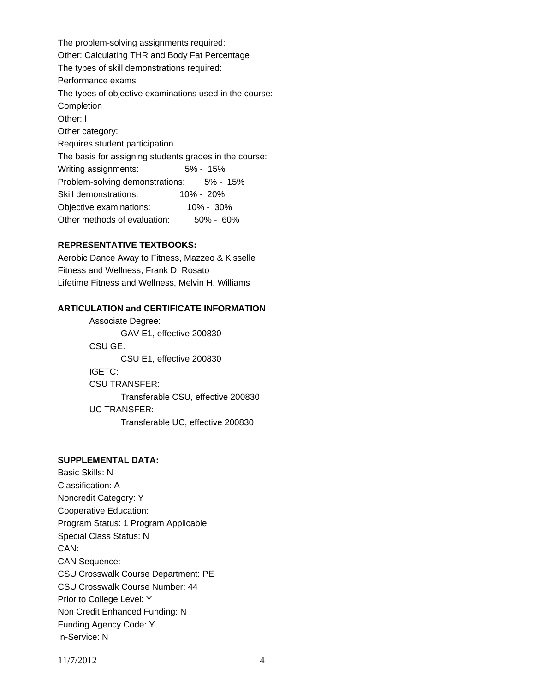The problem-solving assignments required: Other: Calculating THR and Body Fat Percentage The types of skill demonstrations required: Performance exams The types of objective examinations used in the course: Completion Other: l Other category: Requires student participation. The basis for assigning students grades in the course: Writing assignments: 5% - 15% Problem-solving demonstrations: 5% - 15% Skill demonstrations: 10% - 20% Objective examinations: 10% - 30% Other methods of evaluation: 50% - 60%

### **REPRESENTATIVE TEXTBOOKS:**

Aerobic Dance Away to Fitness, Mazzeo & Kisselle Fitness and Wellness, Frank D. Rosato Lifetime Fitness and Wellness, Melvin H. Williams

#### **ARTICULATION and CERTIFICATE INFORMATION**

 Transferable CSU, effective 200830 UC TRANSFER: Transferable UC, effective 200830 Associate Degree: GAV E1, effective 200830 CSU GE: CSU E1, effective 200830 IGETC: CSU TRANSFER:

### **SUPPLEMENTAL DATA:**

Basic Skills: N Classification: A Noncredit Category: Y Cooperative Education: Program Status: 1 Program Applicable Special Class Status: N CAN: CAN Sequence: CSU Crosswalk Course Department: PE CSU Crosswalk Course Number: 44 Prior to College Level: Y Non Credit Enhanced Funding: N Funding Agency Code: Y In-Service: N